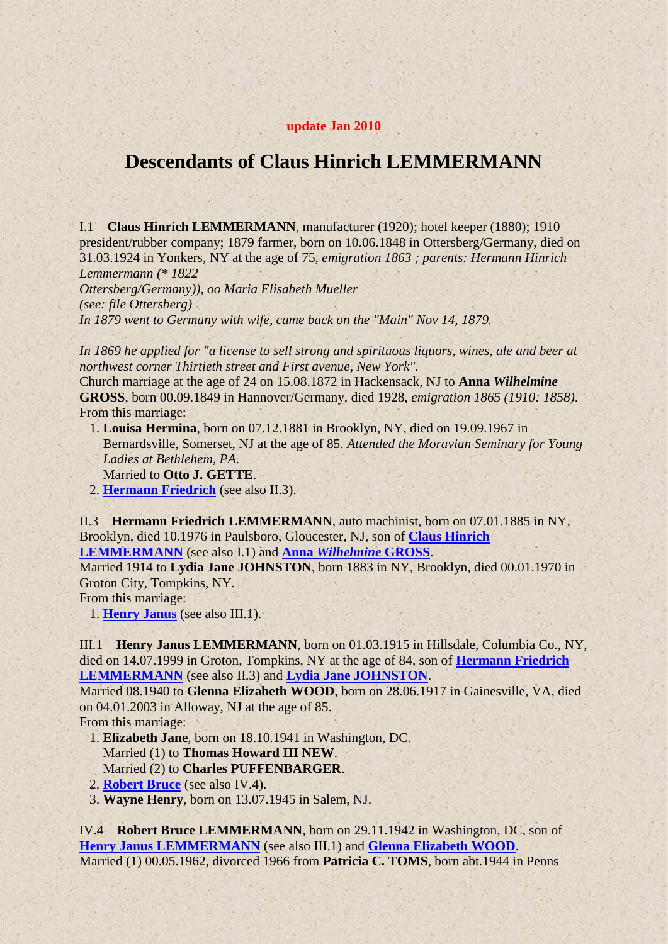## <span id="page-0-2"></span>**update Jan 2010**

## **Descendants of Claus Hinrich LEMMERMANN**

<span id="page-0-1"></span>I.1 **Claus Hinrich LEMMERMANN**, manufacturer (1920); hotel keeper (1880); 1910 president/rubber company; 1879 farmer, born on 10.06.1848 in Ottersberg/Germany, died on 31.03.1924 in Yonkers, NY at the age of 75, *emigration 1863 ; parents: Hermann Hinrich Lemmermann (\* 1822*

*Ottersberg/Germany)), oo Maria Elisabeth Mueller (see: file Ottersberg) In 1879 went to Germany with wife, came back on the "Main" Nov 14, 1879.*

*In 1869 he applied for "a license to sell strong and spirituous liquors, wines, ale and beer at northwest corner Thirtieth street and First avenue, New York".*

Church marriage at the age of 24 on 15.08.1872 in Hackensack, NJ to **Anna** *Wilhelmine* **GROSS**, born 00.09.1849 in Hannover/Germany, died 1928, *emigration 1865 (1910: 1858)*. From this marriage:

- 1. **Louisa Hermina**, born on 07.12.1881 in Brooklyn, NY, died on 19.09.1967 in Bernardsville, Somerset, NJ at the age of 85. *Attended the Moravian Seminary for Young Ladies at Bethlehem, PA*. Married to **Otto J. GETTE**.
- 2. **[Hermann Friedrich](#page-0-0)** (see also II.3).

<span id="page-0-0"></span>II.3 **Hermann Friedrich LEMMERMANN**, auto machinist, born on 07.01.1885 in NY, Brooklyn, died 10.1976 in Paulsboro, Gloucester, NJ, son of **[Claus Hinrich](#page-0-1)  [LEMMERMANN](#page-0-1)** (see also I.1) and **Anna** *[Wilhelmine](#page-0-2)* **GROSS**.

<span id="page-0-4"></span>Married 1914 to **Lydia Jane JOHNSTON**, born 1883 in NY, Brooklyn, died 00.01.1970 in Groton City, Tompkins, NY.

From this marriage:

1. **[Henry Janus](#page-0-3)** (see also III.1).

<span id="page-0-3"></span>III.1 **Henry Janus LEMMERMANN**, born on 01.03.1915 in Hillsdale, Columbia Co., NY, died on 14.07.1999 in Groton, Tompkins, NY at the age of 84, son of **[Hermann Friedrich](#page-0-0)  [LEMMERMANN](#page-0-0)** (see also II.3) and **[Lydia Jane JOHNSTON](#page-0-4)**.

<span id="page-0-6"></span>Married 08.1940 to **Glenna Elizabeth WOOD**, born on 28.06.1917 in Gainesville, VA, died on 04.01.2003 in Alloway, NJ at the age of 85.

From this marriage:

- 1. **Elizabeth Jane**, born on 18.10.1941 in Washington, DC. Married (1) to **Thomas Howard III NEW**. Married (2) to **Charles PUFFENBARGER**.
- 2. **[Robert Bruce](#page-0-5)** (see also IV.4).
- 3. **Wayne Henry**, born on 13.07.1945 in Salem, NJ.

<span id="page-0-5"></span>IV.4 **Robert Bruce LEMMERMANN**, born on 29.11.1942 in Washington, DC, son of **[Henry Janus LEMMERMANN](#page-0-3)** (see also III.1) and **[Glenna Elizabeth WOOD](#page-0-6)**. Married (1) 00.05.1962, divorced 1966 from **Patricia C. TOMS**, born abt.1944 in Penns